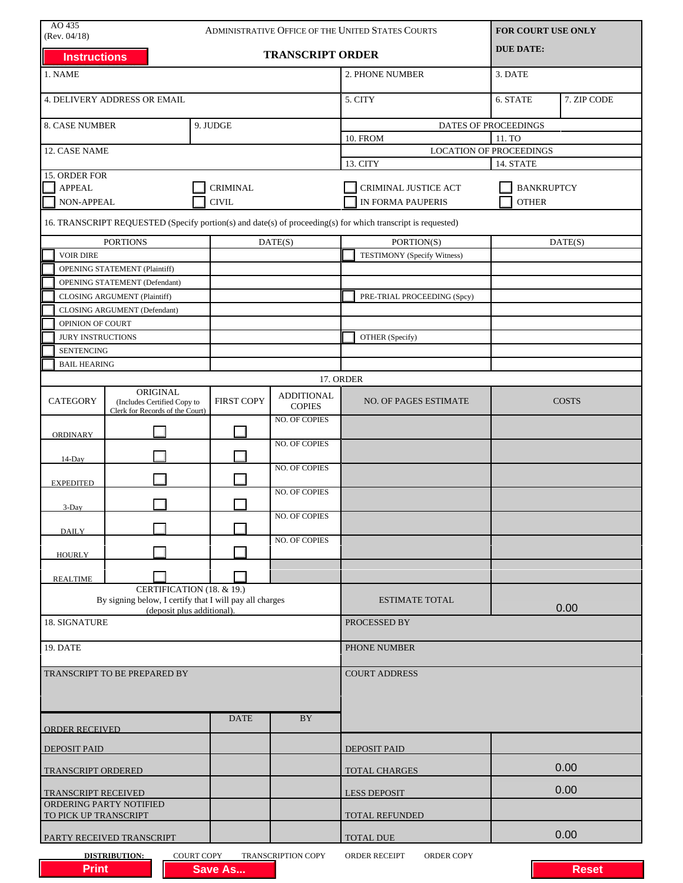| AO 435<br>ADMINISTRATIVE OFFICE OF THE UNITED STATES COURTS<br>(Rev. 04/18)                    |                                                                                      |                   |                                    | FOR COURT USE ONLY                                                                                           |                      |              |  |
|------------------------------------------------------------------------------------------------|--------------------------------------------------------------------------------------|-------------------|------------------------------------|--------------------------------------------------------------------------------------------------------------|----------------------|--------------|--|
| <b>TRANSCRIPT ORDER</b><br><b>Instructions</b>                                                 |                                                                                      |                   |                                    |                                                                                                              | <b>DUE DATE:</b>     |              |  |
| 1. NAME                                                                                        |                                                                                      |                   |                                    | 2. PHONE NUMBER                                                                                              | 3. DATE              |              |  |
| 4. DELIVERY ADDRESS OR EMAIL                                                                   |                                                                                      |                   |                                    | 5. CITY                                                                                                      | 6. STATE             | 7. ZIP CODE  |  |
| <b>8. CASE NUMBER</b>                                                                          |                                                                                      | 9. JUDGE          |                                    |                                                                                                              | DATES OF PROCEEDINGS |              |  |
|                                                                                                |                                                                                      |                   |                                    | <b>10. FROM</b><br>11. TO                                                                                    |                      |              |  |
| 12. CASE NAME                                                                                  |                                                                                      |                   |                                    | <b>LOCATION OF PROCEEDINGS</b><br>13. CITY<br>14. STATE                                                      |                      |              |  |
| 15. ORDER FOR                                                                                  |                                                                                      |                   |                                    |                                                                                                              |                      |              |  |
| <b>APPEAL</b>                                                                                  |                                                                                      | <b>CRIMINAL</b>   |                                    | CRIMINAL JUSTICE ACT                                                                                         | <b>BANKRUPTCY</b>    |              |  |
| NON-APPEAL                                                                                     |                                                                                      | <b>CIVIL</b>      |                                    | IN FORMA PAUPERIS<br><b>OTHER</b>                                                                            |                      |              |  |
|                                                                                                |                                                                                      |                   |                                    | 16. TRANSCRIPT REQUESTED (Specify portion(s) and date(s) of proceeding(s) for which transcript is requested) |                      |              |  |
|                                                                                                | <b>PORTIONS</b>                                                                      |                   | DATE(S)                            | PORTION(S)                                                                                                   |                      | DATE(S)      |  |
| <b>VOIR DIRE</b>                                                                               |                                                                                      |                   |                                    | <b>TESTIMONY</b> (Specify Witness)                                                                           |                      |              |  |
|                                                                                                | <b>OPENING STATEMENT (Plaintiff)</b>                                                 |                   |                                    |                                                                                                              |                      |              |  |
|                                                                                                | OPENING STATEMENT (Defendant)                                                        |                   |                                    |                                                                                                              |                      |              |  |
|                                                                                                | <b>CLOSING ARGUMENT (Plaintiff)</b>                                                  |                   |                                    | PRE-TRIAL PROCEEDING (Spcy)                                                                                  |                      |              |  |
|                                                                                                | CLOSING ARGUMENT (Defendant)                                                         |                   |                                    |                                                                                                              |                      |              |  |
| OPINION OF COURT                                                                               |                                                                                      |                   |                                    |                                                                                                              |                      |              |  |
| <b>JURY INSTRUCTIONS</b>                                                                       |                                                                                      |                   |                                    | OTHER (Specify)                                                                                              |                      |              |  |
| <b>SENTENCING</b>                                                                              |                                                                                      |                   |                                    |                                                                                                              |                      |              |  |
| <b>BAIL HEARING</b>                                                                            |                                                                                      |                   |                                    |                                                                                                              |                      |              |  |
|                                                                                                |                                                                                      |                   |                                    | 17. ORDER                                                                                                    |                      |              |  |
| <b>CATEGORY</b>                                                                                | ORIGINAL<br>(Includes Certified Copy to<br>Clerk for Records of the Court)           | <b>FIRST COPY</b> | <b>ADDITIONAL</b><br><b>COPIES</b> | NO. OF PAGES ESTIMATE                                                                                        |                      | <b>COSTS</b> |  |
| <b>ORDINARY</b>                                                                                |                                                                                      |                   | <b>NO. OF COPIES</b>               |                                                                                                              |                      |              |  |
| 14-Day                                                                                         |                                                                                      |                   | <b>NO. OF COPIES</b>               |                                                                                                              |                      |              |  |
| <b>EXPEDITED</b>                                                                               |                                                                                      |                   | <b>NO. OF COPIES</b>               |                                                                                                              |                      |              |  |
| $3$ -Day                                                                                       |                                                                                      |                   | NO. OF COPIES                      |                                                                                                              |                      |              |  |
| <b>DAILY</b>                                                                                   |                                                                                      |                   | <b>NO. OF COPIES</b>               |                                                                                                              |                      |              |  |
| <b>HOURLY</b>                                                                                  |                                                                                      |                   | NO. OF COPIES                      |                                                                                                              |                      |              |  |
| <b>REALTIME</b>                                                                                |                                                                                      |                   |                                    |                                                                                                              |                      |              |  |
|                                                                                                | CERTIFICATION (18. & 19.)<br>By signing below, I certify that I will pay all charges |                   |                                    | <b>ESTIMATE TOTAL</b>                                                                                        |                      |              |  |
| 18. SIGNATURE                                                                                  | (deposit plus additional).                                                           |                   |                                    | PROCESSED BY                                                                                                 |                      | 0.00         |  |
| 19. DATE                                                                                       |                                                                                      |                   |                                    | PHONE NUMBER                                                                                                 |                      |              |  |
|                                                                                                |                                                                                      |                   |                                    |                                                                                                              |                      |              |  |
|                                                                                                | TRANSCRIPT TO BE PREPARED BY                                                         |                   |                                    | <b>COURT ADDRESS</b>                                                                                         |                      |              |  |
| <b>ORDER RECEIVED</b>                                                                          |                                                                                      | <b>DATE</b>       | BY                                 |                                                                                                              |                      |              |  |
| <b>DEPOSIT PAID</b>                                                                            |                                                                                      |                   |                                    | <b>DEPOSIT PAID</b>                                                                                          |                      |              |  |
| TRANSCRIPT ORDERED                                                                             |                                                                                      |                   |                                    | <b>TOTAL CHARGES</b>                                                                                         |                      | 0.00         |  |
| TRANSCRIPT RECEIVED<br>ORDERING PARTY NOTIFIED                                                 |                                                                                      |                   |                                    | <b>LESS DEPOSIT</b>                                                                                          |                      | 0.00         |  |
| TO PICK UP TRANSCRIPT                                                                          |                                                                                      |                   |                                    | TOTAL REFUNDED                                                                                               |                      |              |  |
|                                                                                                | PARTY RECEIVED TRANSCRIPT                                                            |                   |                                    | <b>TOTAL DUE</b>                                                                                             |                      | 0.00         |  |
| COURT COPY<br>TRANSCRIPTION COPY<br>ORDER COPY<br><b>DISTRIBUTION:</b><br><b>ORDER RECEIPT</b> |                                                                                      |                   |                                    |                                                                                                              |                      |              |  |
| <b>Print</b>                                                                                   |                                                                                      | <b>Save As</b>    |                                    |                                                                                                              |                      | <b>Reset</b> |  |

| <b>Print</b> | <b>Save As</b> |  | <b>Reset</b> |
|--------------|----------------|--|--------------|
|              |                |  |              |